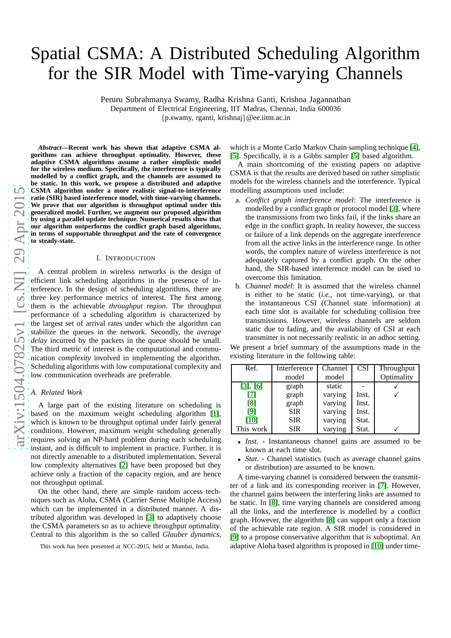# Spatial CSMA: A Distributed Scheduling Algorithm for the SIR Model with Time-varying Channels

Peruru Subrahmanya Swamy, Radha Krishna Ganti, Krishna Jagannathan

Department of Electrical Engineering, IIT Madras, Chennai, India 600036

{p.swamy, rganti, krishnaj}@ee.iitm.ac.in

 $\Omega$ 

*Abstract***—Recent work has shown that adaptive CSMA algorithms can achieve throughput optimality. However, these adaptive CSMA algorithms assume a rather simplistic model for the wireless medium. Specifically, the interference is typically modelled by a conflict graph, and the channels are assumed to be static. In this work, we propose a distributed and adaptive CSMA algorithm under a more realistic signal-to-interference ratio (SIR) based interference model, with time-varying channels. We prove that our algorithm is throughput optimal under this generalized model. Further, we augment our proposed algorithm by using a parallel update technique. Numerical results show that our algorithm outperforms the conflict graph based algorithms, in terms of supportable throughput and the rate of convergence to steady-state.**

#### I. INTRODUCTION

A central problem in wireless networks is the design of efficient link scheduling algorithms in the presence of interference. In the design of scheduling algorithms, there are three key performance metrics of interest. The first among them is the achievable *throughput region*. The throughput performance of a scheduling algorithm is characterized by the largest set of arrival rates under which the algorithm can stabilize the queues in the network. Secondly, the *average delay* incurred by the packets in the queue should be small. The third metric of interest is the computational and communication *complexity* involved in implementing the algorithm. Scheduling algorithms with low computational complexity and low communication overheads are preferable.

#### *A. Related Work*

A large part of the existing literature on scheduling is based on the maximum weight scheduling algorithm [\[1\]](#page-5-0), which is known to be throughput optimal under fairly general conditions. However, maximum weight scheduling generally requires solving an NP-hard problem during each scheduling instant, and is difficult to implement in practice. Further, it is not directly amenable to a distributed implementation. Several low complexity alternatives [\[2\]](#page-5-1) have been proposed but they achieve only a fraction of the capacity region, and are hence not throughput optimal.

On the other hand, there are simple random access techniques such as Aloha, CSMA (Carrier Sense Multiple Access) which can be implemented in a distributed manner. A distributed algorithm was developed in [\[3\]](#page-5-2) to adaptively choose the CSMA parameters so as to achieve throughput optimality. Central to this algorithm is the so called *Glauber dynamics*,

which is a Monte Carlo Markov Chain sampling technique [\[4\]](#page-5-3), [\[5\]](#page-5-4). Specifically, it is a Gibbs sampler [\[5\]](#page-5-4) based algorithm.

A main shortcoming of the existing papers on adaptive CSMA is that the results are derived based on rather simplistic models for the wireless channels and the interference. Typical modelling assumptions used include:

- a. *Conflict graph interference model*: The interference is modelled by a conflict graph or protocol model [\[3\]](#page-5-2), where the transmissions from two links fail, if the links share an edge in the conflict graph. In reality however, the success or failure of a link depends on the aggregate interference from all the active links in the interference range. In other words, the complex nature of wireless interference is not adequately captured by a conflict graph. On the other hand, the SIR-based interference model can be used to overcome this limitation.
- b. *Channel model*: It is assumed that the wireless channel is either to be static (*i.e.*, not time-varying), or that the instantaneous CSI (Channel state information) at each time slot is available for scheduling collision free transmissions. However, wireless channels are seldom static due to fading, and the availability of CSI at each transmitter is not necessarily realistic in an adhoc setting.

We present a brief summary of the assumptions made in the existing literature in the following table:

| Ref.      | <b>Interference</b> | Channel | <b>CSI</b> | Throughput |
|-----------|---------------------|---------|------------|------------|
|           | model               | model   |            | Optimality |
| [3], [6]  | graph               | static  |            |            |
| [7]       | graph               | varying | Inst.      |            |
| [8]       | graph               | varying | Inst.      |            |
| [9]       | <b>SIR</b>          | varying | Inst.      |            |
| [10]      | <b>SIR</b>          | varying | Stat.      |            |
| This work | <b>SIR</b>          | varying | Stat.      |            |

- *Inst.* Instantaneous channel gains are assumed to be known at each time slot.
- *Stat.* Channel statistics (such as average channel gains or distribution) are assumed to be known.

A time-varying channel is considered between the transmitter of a link and its corresponding receiver in [\[7\]](#page-5-6). However, the channel gains between the interfering links are assumed to be static. In [\[8\]](#page-5-7), time varying channels are considered among all the links, and the interference is modelled by a conflict graph. However, the algorithm [\[8\]](#page-5-7) can support only a fraction of the achievable rate region. A SIR model is considered in [\[9\]](#page-5-8) to a propose conservative algorithm that is suboptimal. An This work has been presented at NCC-2015, held at Mumbai, India. adaptive Aloha based algorithm is proposed in [\[10\]](#page-5-9) under time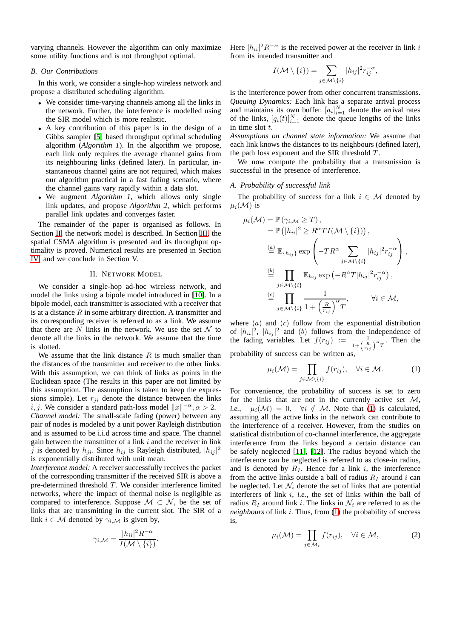varying channels. However the algorithm can only maximize some utility functions and is not throughput optimal.

#### *B. Our Contributions*

In this work, we consider a single-hop wireless network and propose a distributed scheduling algorithm.

- We consider time-varying channels among all the links in the network. Further, the interference is modelled using the SIR model which is more realistic.
- A key contribution of this paper is in the design of a Gibbs sampler [\[5\]](#page-5-4) based throughput optimal scheduling algorithm (*Algorithm 1*). In the algorithm we propose, each link only requires the average channel gains from its neighbouring links (defined later). In particular, instantaneous channel gains are not required, which makes our algorithm practical in a fast fading scenario, where the channel gains vary rapidly within a data slot.
- We augment *Algorithm 1*, which allows only single link updates, and propose *Algorithm 2*, which performs parallel link updates and converges faster.

The remainder of the paper is organised as follows. In Section [II,](#page-1-0) the network model is described. In Section [III,](#page-2-0) the spatial CSMA algorithm is presented and its throughput optimality is proved. Numerical results are presented in Section [IV,](#page-4-0) and we conclude in Section V.

#### II. NETWORK MODEL

<span id="page-1-0"></span>We consider a single-hop ad-hoc wireless network, and model the links using a bipole model introduced in [\[10\]](#page-5-9). In a bipole model, each transmitter is associated with a receiver that is at a distance  $R$  in some arbitrary direction. A transmitter and its corresponding receiver is referred to as a link. We assume that there are N links in the network. We use the set  $\mathcal N$  to denote all the links in the network. We assume that the time is slotted.

We assume that the link distance  $R$  is much smaller than the distances of the transmitter and receiver to the other links. With this assumption, we can think of links as points in the Euclidean space (The results in this paper are not limited by this assumption. The assumption is taken to keep the expressions simple). Let  $r_{ji}$  denote the distance between the links *i*, *j*. We consider a standard path-loss model  $||x||^{-\alpha}$ ,  $\alpha > 2$ . *Channel model:* The small-scale fading (power) between any pair of nodes is modeled by a unit power Rayleigh distribution and is assumed to be i.i.d across time and space. The channel gain between the transmitter of a link  $i$  and the receiver in link j is denoted by  $h_{ji}$ . Since  $h_{ij}$  is Rayleigh distributed,  $|h_{ij}|^2$ is exponentially distributed with unit mean.

*Interference model:* A receiver successfully receives the packet of the corresponding transmitter if the received SIR is above a pre-determined threshold  $T$ . We consider interference limited networks, where the impact of thermal noise is negligible as compared to interference. Suppose  $\mathcal{M} \subset \mathcal{N}$ , be the set of links that are transmitting in the current slot. The SIR of a link  $i \in \mathcal{M}$  denoted by  $\gamma_{i,\mathcal{M}}$  is given by,

$$
\gamma_{i,\mathcal{M}} = \frac{|h_{ii}|^2 R^{-\alpha}}{I(\mathcal{M}\setminus\{i\})}.
$$

Here  $|h_{ii}|^2 R^{-\alpha}$  is the received power at the receiver in link i from its intended transmitter and

$$
I(\mathcal{M}\setminus\{i\})=\sum_{j\in\mathcal{M}\setminus\{i\}}|h_{ij}|^2r_{ij}^{-\alpha},
$$

is the interference power from other concurrent transmissions. *Queuing Dynamics:* Each link has a separate arrival process and maintains its own buffer.  $[a_i]_{i=1}^N$  denote the arrival rates of the links,  $[q_i(t)]_{i=1}^N$  denote the queue lengths of the links in time slot  $t$ .

*Assumptions on channel state information:* We assume that each link knows the distances to its neighbours (defined later), the path loss exponent and the SIR threshold  $T$ .

We now compute the probability that a transmission is successful in the presence of interference.

## *A. Probability of successful link*

The probability of success for a link  $i \in \mathcal{M}$  denoted by  $\mu_i(\mathcal{M})$  is

$$
\mu_i(\mathcal{M}) = \mathbb{P}(\gamma_{i,\mathcal{M}} \geq T),
$$
  
\n
$$
= \mathbb{P}(|h_{ii}|^2 \geq R^{\alpha}TI(\mathcal{M} \setminus \{i\}))
$$
,  
\n
$$
\stackrel{(a)}{=} \mathbb{E}_{\{h_{ij}\}} \exp\left(-TR^{\alpha} \sum_{j \in \mathcal{M} \setminus \{i\}} |h_{ij}|^2 r_{ij}^{-\alpha}\right),
$$
  
\n
$$
\stackrel{(b)}{=} \prod_{j \in \mathcal{M} \setminus \{i\}} \mathbb{E}_{h_{ij}} \exp(-R^{\alpha}T|h_{ij}|^2 r_{ij}^{-\alpha}),
$$
  
\n
$$
\stackrel{(c)}{=} \prod_{j \in \mathcal{M} \setminus \{i\}} \frac{1}{1 + \left(\frac{R}{r_{ij}}\right)^{\alpha}T}, \qquad \forall i \in \mathcal{M},
$$

where  $(a)$  and  $(c)$  follow from the exponential distribution of  $|h_{ii}|^2$ ,  $|h_{ij}|^2$  and (b) follows from the independence of the fading variables. Let  $f(r_{ij}) := \frac{1}{1 + (\frac{R}{r_{ij}})^{\alpha}T}$ . Then the probability of success can be written as,

<span id="page-1-1"></span>
$$
\mu_i(\mathcal{M}) = \prod_{j \in \mathcal{M} \setminus \{i\}} f(r_{ij}), \quad \forall i \in \mathcal{M}.
$$
 (1)

For convenience, the probability of success is set to zero for the links that are not in the currently active set  $M$ , *i.e.*,  $\mu_i(\mathcal{M}) = 0$ ,  $\forall i \notin \mathcal{M}$ . Note that [\(1\)](#page-1-1) is calculated, assuming all the active links in the network can contribute to the interference of a receiver. However, from the studies on statistical distribution of co-channel interference, the aggregate interference from the links beyond a certain distance can be safely neglected [\[11\]](#page-5-10), [\[12\]](#page-5-11). The radius beyond which the interference can be neglected is referred to as close-in radius, and is denoted by  $R_I$ . Hence for a link i, the interference from the active links outside a ball of radius  $R_I$  around i can be neglected. Let  $\mathcal{N}_i$  denote the set of links that are potential interferers of link i, *i.e.*, the set of links within the ball of radius  $R_I$  around link i. The links in  $\mathcal{N}_i$  are referred to as the *neighbours* of link i. Thus, from [\(1\)](#page-1-1) the probability of success is,

<span id="page-1-2"></span>
$$
\mu_i(\mathcal{M}) = \prod_{j \in \mathcal{M}_i} f(r_{ij}), \quad \forall i \in \mathcal{M}, \tag{2}
$$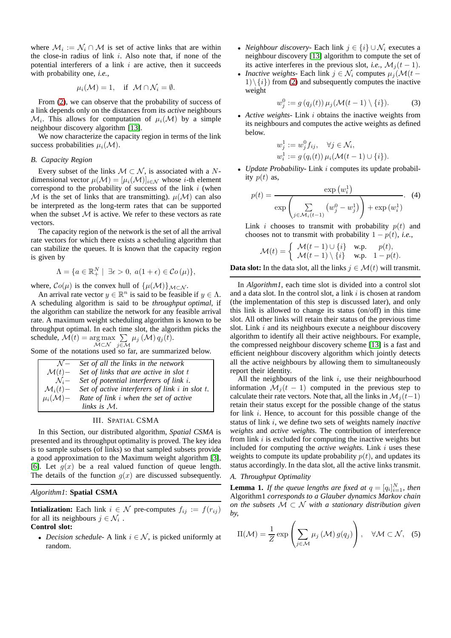where  $\mathcal{M}_i := \mathcal{N}_i \cap \mathcal{M}$  is set of active links that are within the close-in radius of link i. Also note that, if none of the potential interferers of a link  $i$  are active, then it succeeds with probability one, *i.e.*,

$$
\mu_i(\mathcal{M}) = 1
$$
, if  $\mathcal{M} \cap \mathcal{N}_i = \emptyset$ .

From [\(2\)](#page-1-2), we can observe that the probability of success of a link depends only on the distances from its *active* neighbours  $\mathcal{M}_i$ . This allows for computation of  $\mu_i(\mathcal{M})$  by a simple neighbour discovery algorithm [\[13\]](#page-5-12).

We now characterize the capacity region in terms of the link success probabilities  $\mu_i(\mathcal{M})$ .

#### *B. Capacity Region*

Every subset of the links  $M \subset \mathcal{N}$ , is associated with a Ndimensional vector  $\mu(\mathcal{M}) = [\mu_i(\mathcal{M})]_{i \in \mathcal{N}}$  whose *i*-th element correspond to the probability of success of the link  $i$  (when M is the set of links that are transmitting).  $\mu(\mathcal{M})$  can also be interpreted as the long-term rates that can be supported when the subset  $M$  is active. We refer to these vectors as rate vectors.

The capacity region of the network is the set of all the arrival rate vectors for which there exists a scheduling algorithm that can stabilize the queues. It is known that the capacity region is given by

$$
\Lambda = \{ a \in \mathbb{R}_+^N \mid \exists \epsilon > 0, \ a(1 + \epsilon) \in \mathcal{C}o(\mu) \},
$$

where,  $Co(\mu)$  is the convex hull of  $\{\mu(\mathcal{M})\}_{\mathcal{M}\subset\mathcal{N}}$ .

An arrival rate vector  $y \in \mathbb{R}^n$  is said to be feasible if  $y \in \Lambda$ . A scheduling algorithm is said to be *throughput optimal*, if the algorithm can stabilize the network for any feasible arrival rate. A maximum weight scheduling algorithm is known to be throughput optimal. In each time slot, the algorithm picks the schedule,  $\mathcal{M}(t) = \argmax_{\mathcal{M} \subset \mathcal{N}} \sum_{j \in \mathcal{N}}$  $\sum_{j\in\mathcal{M}}\mu_j\left(\mathcal{M}\right)q_j(t).$ 

Some of the notations used so far, are summarized below.

| $N-$                  | Set of all the links in the network                 |
|-----------------------|-----------------------------------------------------|
| $\mathcal{M}(t)$ -    | Set of links that are active in slot t              |
| $\mathcal{N}_i-$      | Set of potential interferers of link i.             |
| $\mathcal{M}_i(t)$ –  | Set of active interferers of link $i$ in slot $t$ . |
| $\mu_i(\mathcal{M})-$ | Rate of link i when the set of active               |
|                       | links is $M$ .                                      |

#### III. SPATIAL CSMA

<span id="page-2-0"></span>In this Section, our distributed algorithm, *Spatial CSMA* is presented and its throughput optimality is proved. The key idea is to sample subsets (of links) so that sampled subsets provide a good approximation to the Maximum weight algorithm [\[3\]](#page-5-2), [\[6\]](#page-5-5). Let  $g(x)$  be a real valued function of queue length. The details of the function  $g(x)$  are discussed subsequently.

## *Algorithm1*: **Spatial CSMA**

**Intialization:** Each link  $i \in \mathcal{N}$  pre-computes  $f_{ij} := f(r_{ij})$ for all its neighbours  $j \in \mathcal{N}_i$ .

**Control slot:**

• *Decision schedule*- A link  $i \in \mathcal{N}$ , is picked uniformly at random.

- *Neighbour discovery* Each link  $j \in \{i\} \cup \mathcal{N}_i$  executes a neighbour discovery [\[13\]](#page-5-12) algorithm to compute the set of its active interferes in the previous slot, *i.e.*,  $\mathcal{M}_j(t-1)$ .
- *Inactive weights* Each link  $j \in \mathcal{N}_i$  computes  $\mu_i(\mathcal{M})(t 1) \setminus \{i\}$  from [\(2\)](#page-1-2) and subsequently computes the inactive weight

<span id="page-2-4"></span>
$$
w_j^0 := g(q_j(t)) \mu_j(\mathcal{M}(t-1) \setminus \{i\}). \tag{3}
$$

• *Active weights-* Link i obtains the inactive weights from its neighbours and computes the active weights as defined below.

<span id="page-2-3"></span>
$$
w_j^1 := w_j^0 f_{ij}, \quad \forall j \in \mathcal{N}_i,
$$
  
\n
$$
w_i^1 := g(q_i(t)) \mu_i(\mathcal{M}(t-1) \cup \{i\}).
$$

• *Update Probability-* Link i computes its update probability  $p(t)$  as,

$$
p(t) = \frac{\exp(w_i^1)}{\exp\left(\sum_{j \in \mathcal{M}_i(t-1)} \left(w_j^0 - w_j^1\right)\right) + \exp(w_i^1)}.
$$
 (4)

Link *i* chooses to transmit with probability  $p(t)$  and chooses not to transmit with probability  $1 - p(t)$ , *i.e.*,

$$
\mathcal{M}(t) = \left\{ \begin{array}{ll} \mathcal{M}(t-1) \cup \{i\} & \text{w.p.} \quad p(t), \\ \mathcal{M}(t-1) \setminus \{i\} & \text{w.p.} \quad 1-p(t). \end{array} \right.
$$

**Data slot:** In the data slot, all the links  $j \in \mathcal{M}(t)$  will transmit.

In *Algorithm1*, each time slot is divided into a control slot and a data slot. In the control slot, a link  $i$  is chosen at random (the implementation of this step is discussed later), and only this link is allowed to change its status (on/off) in this time slot. All other links will retain their status of the previous time slot. Link  $i$  and its neighbours execute a neighbour discovery algorithm to identify all their active neighbours. For example, the compressed neighbour discovery scheme [\[13\]](#page-5-12) is a fast and efficient neighbour discovery algorithm which jointly detects all the active neighbours by allowing them to simultaneously report their identity.

All the neighbours of the link  $i$ , use their neighbourhood information  $\mathcal{M}_i(t-1)$  computed in the previous step to calculate their rate vectors. Note that, all the links in  $\mathcal{M}_i (t-1)$ retain their status except for the possible change of the status for link  $i$ . Hence, to account for this possible change of the status of link i, we define two sets of weights namely *inactive weights* and *active weights*. The contribution of interference from link  $i$  is excluded for computing the inactive weights but included for computing the *active weights*. Link i uses these weights to compute its update probability  $p(t)$ , and updates its status accordingly. In the data slot, all the active links transmit.

### *A. Throughput Optimality*

<span id="page-2-1"></span>**Lemma 1.** If the queue lengths are fixed at  $q = [q_i]_{i=1}^N$ , then Algorithm1 *corresponds to a Glauber dynamics Markov chain on the subsets* M ⊂ N *with a stationary distribution given by,*

<span id="page-2-2"></span>
$$
\Pi(\mathcal{M}) = \frac{1}{Z} \exp\left(\sum_{j \in \mathcal{M}} \mu_j\left(\mathcal{M}\right) g(q_j)\right), \quad \forall \mathcal{M} \subset \mathcal{N}, \quad (5)
$$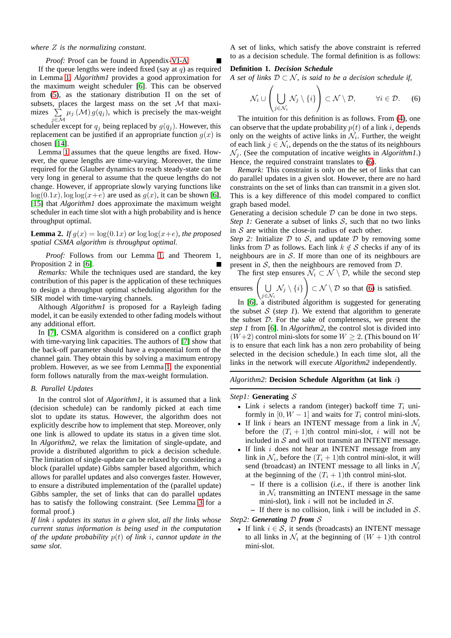#### *where* Z *is the normalizing constant.*

#### *Proof:* Proof can be found in Appendix[-VI-A](#page-5-13)

If the queue lengths were indeed fixed (say at  $q$ ) as required in Lemma [1,](#page-2-1) *Algorithm1* provides a good approximation for the maximum weight scheduler [\[6\]](#page-5-5). This can be observed from [\(5\)](#page-2-2), as the stationary distribution  $\Pi$  on the set of subsets, places the largest mass on the set  $M$  that maximizes  $\Sigma$  $\sum_{j \in \mathcal{M}} \mu_j \left( \mathcal{M} \right) g(q_j)$ , which is precisely the max-weight

scheduler except for  $q_j$  being replaced by  $g(q_j)$ . However, this replacement can be justified if an appropriate function  $g(x)$  is chosen [\[14\]](#page-5-14).

Lemma [1](#page-2-1) assumes that the queue lengths are fixed. However, the queue lengths are time-varying. Moreover, the time required for the Glauber dynamics to reach steady-state can be very long in general to assume that the queue lengths do not change. However, if appropriate slowly varying functions like  $\log(0.1x)$ ,  $\log\log(x+e)$  are used as  $g(x)$ , it can be shown [\[6\]](#page-5-5), [\[15\]](#page-5-15) that *Algorithm1* does approximate the maximum weight scheduler in each time slot with a high probability and is hence throughput optimal.

**Lemma 2.** *If*  $g(x) = \log(0.1x)$  *or*  $\log\log(x+e)$ *, the proposed spatial CSMA algorithm is throughput optimal.*

*Proof:* Follows from our Lemma [1,](#page-2-1) and Theorem 1, Proposition 2 in [\[6\]](#page-5-5).

*Remarks:* While the techniques used are standard, the key contribution of this paper is the application of these techniques to design a throughput optimal scheduling algorithm for the SIR model with time-varying channels.

Although *Algorithm1* is proposed for a Rayleigh fading model, it can be easily extended to other fading models without any additional effort.

In [\[7\]](#page-5-6), CSMA algorithm is considered on a conflict graph with time-varying link capacities. The authors of [\[7\]](#page-5-6) show that the back-off parameter should have a exponential form of the channel gain. They obtain this by solving a maximum entropy problem. However, as we see from Lemma [1,](#page-2-1) the exponential form follows naturally from the max-weight formulation.

#### *B. Parallel Updates*

In the control slot of *Algorithm1*, it is assumed that a link (decision schedule) can be randomly picked at each time slot to update its status. However, the algorithm does not explicitly describe how to implement that step. Moreover, only one link is allowed to update its status in a given time slot. In *Algorithm2*, we relax the limitation of single-update, and provide a distributed algorithm to pick a decision schedule. The limitation of single-update can be relaxed by considering a block (parallel update) Gibbs sampler based algorithm, which allows for parallel updates and also converges faster. However, to ensure a distributed implementation of the (parallel update) Gibbs sampler, the set of links that can do parallel updates has to satisfy the following constraint. (See Lemma [3](#page-4-1) for a formal proof.)

*If link* i *updates its status in a given slot, all the links whose current status information is being used in the computation of the update probability* p(t) *of link* i*, cannot update in the same slot*.

A set of links, which satisfy the above constraint is referred to as a decision schedule. The formal definition is as follows:

#### **Definition 1.** *Decision Schedule*

*A set of links*  $D \subset \mathcal{N}$ *, is said to be a decision schedule if,* 

<span id="page-3-0"></span>
$$
\mathcal{N}_i \cup \left(\bigcup_{j \in \mathcal{N}_i} \mathcal{N}_j \setminus \{i\}\right) \subset \mathcal{N} \setminus \mathcal{D}, \qquad \forall i \in \mathcal{D}. \tag{6}
$$

The intuition for this definition is as follows. From [\(4\)](#page-2-3), one can observe that the update probability  $p(t)$  of a link i, depends only on the weights of active links in  $\mathcal{N}_i$ . Further, the weight of each link  $j \in \mathcal{N}_i$ , depends on the the status of its neighbours  $\mathcal{N}_i$ . (See the computation of incative weights in *Algorithm1*.) Hence, the required constraint translates to [\(6\)](#page-3-0).

*Remark:* This constraint is only on the set of links that can do parallel updates in a given slot. However, there are no hard constraints on the set of links than can transmit in a given slot. This is a key difference of this model compared to conflict graph based model.

Generating a decision schedule  $D$  can be done in two steps. *Step 1:* Generate a subset of links  $S$ , such that no two links in  $S$  are within the close-in radius of each other.

*Step 2:* Initialize  $D$  to  $S$ , and update  $D$  by removing some links from  $D$  as follows. Each link  $k \notin S$  checks if any of its neighbours are in  $S$ . If more than one of its neighbours are present in  $S$ , then the neighbours are removed from  $D$ .

The first step ensures  $\mathcal{N}_i \subset \mathcal{N} \setminus \mathcal{D}$ , while the second step

ensures 
$$
\left(\bigcup_{i \in \mathcal{N}_i} \mathcal{N}_j \setminus \{i\}\right) \subset \mathcal{N} \setminus \mathcal{D}
$$
 so that (6) is satisfied.

 $\bigcup_{j \in \mathcal{N}_i}$  In [\[6\]](#page-5-5), a distributed algorithm is suggested for generating the subset  $S$  (*step 1*). We extend that algorithm to generate the subset D. For the sake of completeness, we present the *step 1* from [\[6\]](#page-5-5). In *Algorithm2*, the control slot is divided into  $(W+2)$  control mini-slots for some  $W \geq 2$ . (This bound on W is to ensure that each link has a non zero probability of being selected in the decision schedule.) In each time slot, all the links in the network will execute *Algorithm2* independently.

*Algorithm2*: **Decision Schedule Algorithm (at link** i**)**

#### *Step1:* **Generating** S

- Link i selects a random (integer) backoff time  $T_i$  uniformly in [0,  $W - 1$ ] and waits for  $T_i$  control mini-slots.
- If link *i* hears an INTENT message from a link in  $\mathcal{N}_i$ before the  $(T_i + 1)$ th control mini-slot, i will not be included in  $S$  and will not transmit an INTENT message.
- If link *i* does not hear an INTENT message from any link in  $\mathcal{N}_i$ , before the  $(T_i + 1)$ th control mini-slot, it will send (broadcast) an INTENT message to all links in  $\mathcal{N}_i$ at the beginning of the  $(T_i + 1)$ th control mini-slot.
	- **–** If there is a collision (*i.e.*, if there is another link in  $\mathcal{N}_i$  transmitting an INTENT message in the same mini-slot), link i will not be included in  $S$ .
	- $-$  If there is no collision, link i will be included in  $S$ .

*Step2: Generating* D *from* S

• If link  $i \in S$ , it sends (broadcasts) an INTENT message to all links in  $\mathcal{N}_i$  at the beginning of  $(W + 1)$ th control mini-slot.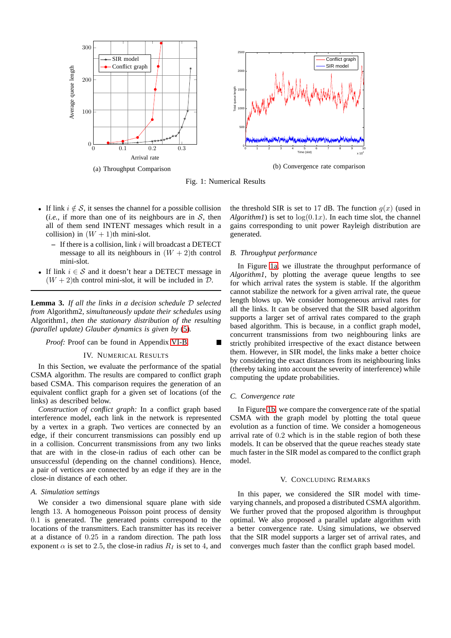<span id="page-4-2"></span>

Fig. 1: Numerical Results

- If link  $i \notin \mathcal{S}$ , it senses the channel for a possible collision (*i.e.*, if more than one of its neighbours are in  $S$ , then all of them send INTENT messages which result in a collision) in  $(W + 1)$ th mini-slot.
	- **–** If there is a collision, link i will broadcast a DETECT message to all its neighbours in  $(W + 2)$ th control mini-slot.
- If link  $i \in S$  and it doesn't hear a DETECT message in  $(W + 2)$ th control mini-slot, it will be included in D.

<span id="page-4-1"></span>**Lemma 3.** *If all the links in a decision schedule* D *selected from* Algorithm2*, simultaneously update their schedules using* Algorithm1*, then the stationary distribution of the resulting (parallel update) Glauber dynamics is given by* [\(5\)](#page-2-2)*.*

## <span id="page-4-0"></span>*Proof:* Proof can be found in Appendix [VI-B.](#page-5-16)

#### IV. NUMERICAL RESULTS

In this Section, we evaluate the performance of the spatial CSMA algorithm. The results are compared to conflict graph based CSMA. This comparison requires the generation of an equivalent conflict graph for a given set of locations (of the links) as described below.

*Construction of conflict graph:* In a conflict graph based interference model, each link in the network is represented by a vertex in a graph. Two vertices are connected by an edge, if their concurrent transmissions can possibly end up in a collision. Concurrent transmissions from any two links that are with in the close-in radius of each other can be unsuccessful (depending on the channel conditions). Hence, a pair of vertices are connected by an edge if they are in the close-in distance of each other.

## *A. Simulation settings*

We consider a two dimensional square plane with side length 13. A homogeneous Poisson point process of density 0.1 is generated. The generated points correspond to the locations of the transmitters. Each transmitter has its receiver at a distance of 0.25 in a random direction. The path loss exponent  $\alpha$  is set to 2.5, the close-in radius  $R_I$  is set to 4, and the threshold SIR is set to 17 dB. The function  $q(x)$  (used in *Algorithm1*) is set to  $log(0.1x)$ . In each time slot, the channel gains corresponding to unit power Rayleigh distribution are generated.

## *B. Throughput performance*

In Figure [1a,](#page-4-2) we illustrate the throughput performance of *Algorithm1*, by plotting the average queue lengths to see for which arrival rates the system is stable. If the algorithm cannot stabilize the network for a given arrival rate, the queue length blows up. We consider homogeneous arrival rates for all the links. It can be observed that the SIR based algorithm supports a larger set of arrival rates compared to the graph based algorithm. This is because, in a conflict graph model, concurrent transmissions from two neighbouring links are strictly prohibited irrespective of the exact distance between them. However, in SIR model, the links make a better choice by considering the exact distances from its neighbouring links (thereby taking into account the severity of interference) while computing the update probabilities.

#### *C. Convergence rate*

In Figure [1b,](#page-4-2) we compare the convergence rate of the spatial CSMA with the graph model by plotting the total queue evolution as a function of time. We consider a homogeneous arrival rate of 0.2 which is in the stable region of both these models. It can be observed that the queue reaches steady state much faster in the SIR model as compared to the conflict graph model.

#### V. CONCLUDING REMARKS

In this paper, we considered the SIR model with timevarying channels, and proposed a distributed CSMA algorithm. We further proved that the proposed algorithm is throughput optimal. We also proposed a parallel update algorithm with a better convergence rate. Using simulations, we observed that the SIR model supports a larger set of arrival rates, and converges much faster than the conflict graph based model.